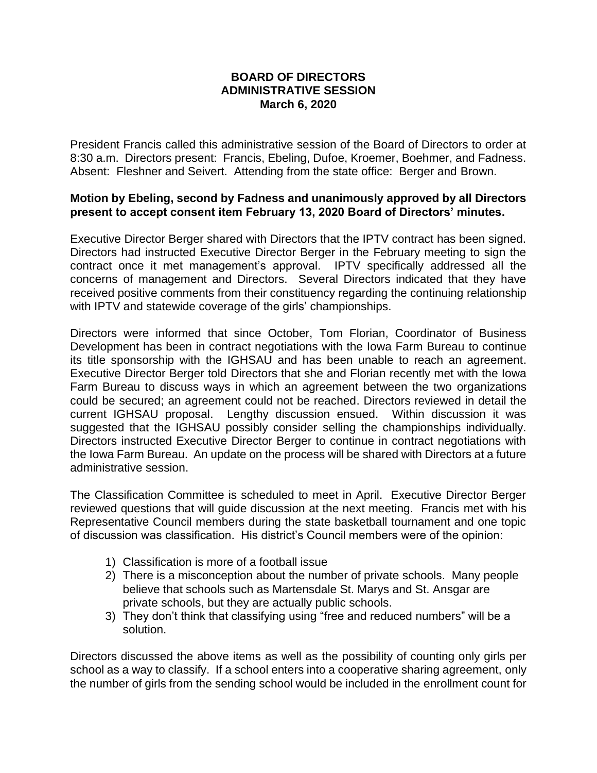## **BOARD OF DIRECTORS ADMINISTRATIVE SESSION March 6, 2020**

President Francis called this administrative session of the Board of Directors to order at 8:30 a.m. Directors present: Francis, Ebeling, Dufoe, Kroemer, Boehmer, and Fadness. Absent: Fleshner and Seivert. Attending from the state office: Berger and Brown.

## **Motion by Ebeling, second by Fadness and unanimously approved by all Directors present to accept consent item February 13, 2020 Board of Directors' minutes.**

Executive Director Berger shared with Directors that the IPTV contract has been signed. Directors had instructed Executive Director Berger in the February meeting to sign the contract once it met management's approval. IPTV specifically addressed all the concerns of management and Directors. Several Directors indicated that they have received positive comments from their constituency regarding the continuing relationship with IPTV and statewide coverage of the girls' championships.

Directors were informed that since October, Tom Florian, Coordinator of Business Development has been in contract negotiations with the Iowa Farm Bureau to continue its title sponsorship with the IGHSAU and has been unable to reach an agreement. Executive Director Berger told Directors that she and Florian recently met with the Iowa Farm Bureau to discuss ways in which an agreement between the two organizations could be secured; an agreement could not be reached. Directors reviewed in detail the current IGHSAU proposal. Lengthy discussion ensued. Within discussion it was suggested that the IGHSAU possibly consider selling the championships individually. Directors instructed Executive Director Berger to continue in contract negotiations with the Iowa Farm Bureau. An update on the process will be shared with Directors at a future administrative session.

The Classification Committee is scheduled to meet in April. Executive Director Berger reviewed questions that will guide discussion at the next meeting. Francis met with his Representative Council members during the state basketball tournament and one topic of discussion was classification. His district's Council members were of the opinion:

- 1) Classification is more of a football issue
- 2) There is a misconception about the number of private schools. Many people believe that schools such as Martensdale St. Marys and St. Ansgar are private schools, but they are actually public schools.
- 3) They don't think that classifying using "free and reduced numbers" will be a solution.

Directors discussed the above items as well as the possibility of counting only girls per school as a way to classify. If a school enters into a cooperative sharing agreement, only the number of girls from the sending school would be included in the enrollment count for